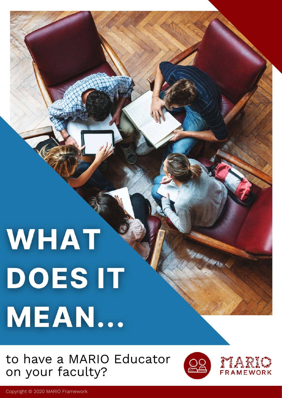# WHAT DOES IT MEAN...

to have a MARIO Educator on your faculty?



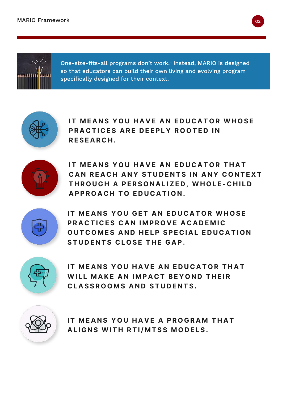

One-size-fits-all programs don't work.<sub>'</sub> Instead, MARIO is designed so that educators can build their own living and evolving program specifically designed for their context.



**IT MEANS YOU HAVE AN EDUCATOR WHOSE PRACTICES ARE DEEPLY ROOTED IN R E S E A R C H .** 



**IT MEANS YOU HAVE AN EDUCATOR THAT CAN REACH ANY STUDENTS IN ANY CONTEXT THROUGH A PERSONALIZED. WHOLE-CHILD APPROACH TO EDUCATION.** 



**IT MEANS YOU GET AN EDUCATOR WHOSE PRACTICES CAN IMPROVE ACADEMIC OUTCOMES AND HELP SPECIAL EDUCATION STUDENTS CLOSE THE GAP.** 



**IT MEANS YOU HAVE AN EDUCATOR THAT WILL MAKE AN IMPACT BEYOND THEIR CLASSROOMS AND STUDENTS.** 



**IT MEANS YOU HAVE A PROGRAM THAT ALIGNS WITH RTI/MTSS MODELS.**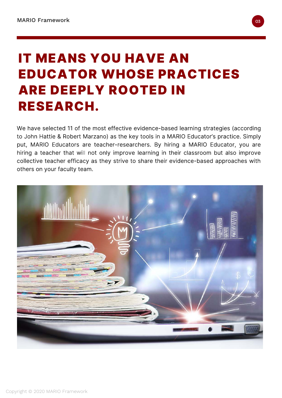## IT MEANS YOU HAVE AN EDUCATOR WHOSE PRACTICES ARE DEEPLY ROOTED IN RESEARCH.

We have selected 11 of the most effective evidence-based learning strategies (according to John Hattie & Robert Marzano) as the key tools in a MARIO Educator's practice. Simply put, MARIO Educators are teacher-researchers. By hiring a MARIO Educator, you are hiring a teacher that will not only improve learning in their classroom but also improve collective teacher efficacy as they strive to share their evidence-based approaches with others on your faculty team.

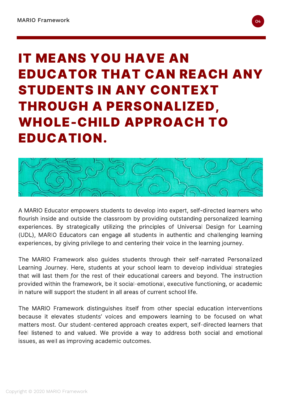## IT MEANS YOU HAVE AN EDUCATOR THAT CAN REACH ANY STUDENTS IN ANY CONTEXT THROUGH A PERSONALIZED, WHOLE-CHILD APPROACH TO EDUCATION.



A MARIO Educator empowers students to develop into expert, self-directed learners who flourish inside and outside the classroom by providing outstanding personalized learning experiences. By strategically utilizing the principles of Universal Design for Learning (UDL), MARIO Educators can engage all students in authentic and challenging learning experiences, by giving privilege to and centering their voice in the learning journey.

The MARIO Framework also guides students through their self-narrated Personalized Learning Journey. Here, students at your school learn to develop individual strategies that will last them  $\sum z_i$  the rest of their educational careers and beyond. The included provided within the framework, be it social-emotional, executive functioning, or academic in nature will support the student in all areas of current school life.

The MARIO Framework distinguishes itself from other special education interventions because it elevates students' voices and empowers learning to be focused on what matters most. Our student-centered approach creates expert, self-directed learners that feel listened to and valued. We provide a way to address both social and emotional issues, as well as improving academic outcomes.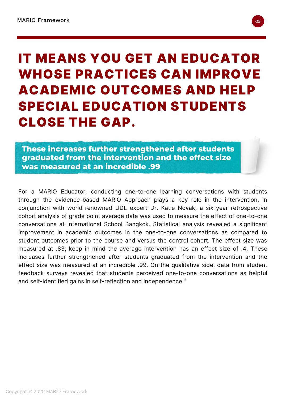#### IT MEANS YOU GET AN EDUCATOR WHOSE PRACTICES CAN IMPROVE ACADEMIC OUTCOMES AND HELP SPECIAL EDUCATION STUDENTS CLOSE THE GAP.

**These increases further strengthened after students graduated from the intervention and the effect size was measured at an incredible .99**

For a MARIO Educator, conducting one-to-one learning conversations with students through the evidence-based MARIO Approach plays a key role in the intervention. In conjunction with world-renowned UDL expert Dr. Katie Novak, a six-year retrospective cohort analysis of grade point average data was used to measure the effect of one-to-one conversations at International School Bangkok. Statistical analysis revealed a significant improvement in academic outcomes in the one-to-one conversations as compared to student outcomes prior to the course and versus the control cohort. The effect size was measured at .83; keep in mind the average intervention has an effect size of .4. These increases further strengthened after students graduated from the intervention and the effect size was measured at an incredible .99. On the qualitative side, data from student feedback surveys revealed that students perceived one-to-one conversations as helpful and self-identified gains in self-reflection and independence. $^2$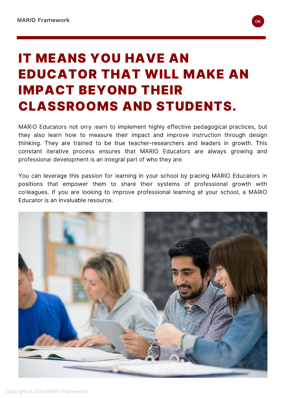## IT MEANS YOU HAVE AN EDUCATOR THAT WILL MAKE AN IMPACT BEYOND THEIR CLASSROOMS AND STUDENTS.

MARIO Educators not only learn to implement highly effective pedagogical practices, but they also learn how to measure their impact and improve instruction through design thinking. They are trained to be true teacher-researchers and leaders in growth. This constant iterative process ensures that MARIO Educators are always growing and professional development is an integral part of who they are.

You can leverage this passion for learning in your school by placing MARIO Educators in positions that empower them to share their systems of professional growth with colleagues. If you are looking to improve professional learning at your school, a MARIO Educator is an invaluable resource.

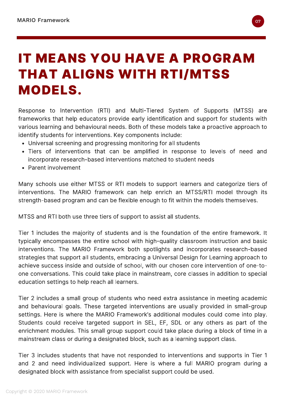#### IT MEANS YOU HAVE A PROGRAM THAT ALIGNS WITH RTI/MTSS MODELS.

Response to Intervention (RTI) and Multi-Tiered System of Supports (MTSS) are frameworks that help educators provide early identification and support for students with various learning and behavioural needs. Both of these models take a proactive approach to identify students for interventions. Key components include:

- Universal screening and progressing monitoring for all students
- Tiers of interventions that can be amplified in response to levels of need and incorporate research-based interventions matched to student needs
- Parent involvement

Many schools use either MTSS or RTI models to support learners and categorize tiers of interventions. The MARIO framework can help enrich an MTSS/RTI model through its strength-based program and can be flexible enough to fit within the models themselves.

MTSS and RTI both use three tiers of support to assist all students.

Tier 1 includes the majority of students and is the foundation of the entire framework. It typically encompasses the entire school with high-quality classroom instruction and basic interventions. The MARIO Framework both spotlights and incorporates research-based strategies that support all students, embracing a Universal Design for Learning approach to achieve success inside and outside of school, with our chosen core intervention of one-toone conversations. This could take place in mainstream, core classes in addition to special education settings to help reach all learners.

Tier 2 includes a small group of students who need extra assistance in meeting academic and behavioural goals. These targeted interventions are usually provided in small-group settings. Here is where the MARIO Framework's additional modules could come into play. Students could receive targeted support in SEL, EF, SDL or any others as part of the enrichment modules. This small group support could take place during a block of time in a mainstream class or during a designated block, such as a learning support class.

Tier 3 includes students that have not responded to interventions and supports in Tier 1 and 2 and need individualized support. Here is where a full MARIO program during a designated block with assistance from specialist support could be used.